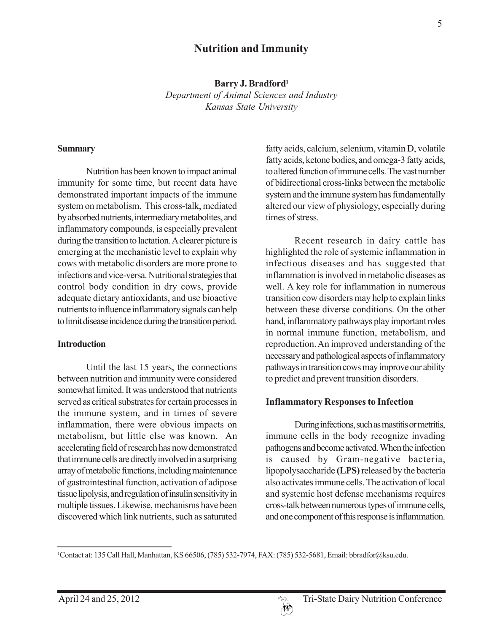## **Nutrition and Immunity**

**Barry J. Bradford1**

*Department of Animal Sciences and Industry Kansas State University*

#### **Summary**

Nutrition has been known to impact animal immunity for some time, but recent data have demonstrated important impacts of the immune system on metabolism. This cross-talk, mediated by absorbed nutrients, intermediary metabolites, and inflammatory compounds, is especially prevalent during the transition to lactation. A clearer picture is emerging at the mechanistic level to explain why cows with metabolic disorders are more prone to infections and vice-versa. Nutritional strategies that control body condition in dry cows, provide adequate dietary antioxidants, and use bioactive nutrients to influence inflammatory signals can help to limit disease incidence during the transition period.

#### **Introduction**

Until the last 15 years, the connections between nutrition and immunity were considered somewhat limited. It was understood that nutrients served as critical substrates for certain processes in the immune system, and in times of severe inflammation, there were obvious impacts on metabolism, but little else was known. An accelerating field of research has now demonstrated that immune cells are directly involved in a surprising array of metabolic functions, including maintenance of gastrointestinal function, activation of adipose tissue lipolysis, and regulation of insulin sensitivity in multiple tissues. Likewise, mechanisms have been discovered which link nutrients, such as saturated fatty acids, calcium, selenium, vitamin D, volatile fatty acids, ketone bodies, and omega-3 fatty acids, to altered function of immune cells. The vast number of bidirectional cross-links between the metabolic system and the immune system has fundamentally altered our view of physiology, especially during times of stress.

Recent research in dairy cattle has highlighted the role of systemic inflammation in infectious diseases and has suggested that inflammation is involved in metabolic diseases as well. A key role for inflammation in numerous transition cow disorders may help to explain links between these diverse conditions. On the other hand, inflammatory pathways play important roles in normal immune function, metabolism, and reproduction. An improved understanding of the necessary and pathological aspects of inflammatory pathways in transition cows may improve our ability to predict and prevent transition disorders.

#### **Inflammatory Responses to Infection**

During infections, such as mastitis or metritis, immune cells in the body recognize invading pathogens and become activated. When the infection is caused by Gram-negative bacteria, lipopolysaccharide **(LPS)** released by the bacteria also activates immune cells. The activation of local and systemic host defense mechanisms requires cross-talk between numerous types of immune cells, and one component of this response is inflammation.



<sup>1</sup> Contact at: 135 Call Hall, Manhattan, KS 66506, (785) 532-7974, FAX: (785) 532-5681, Email: bbradfor@ksu.edu.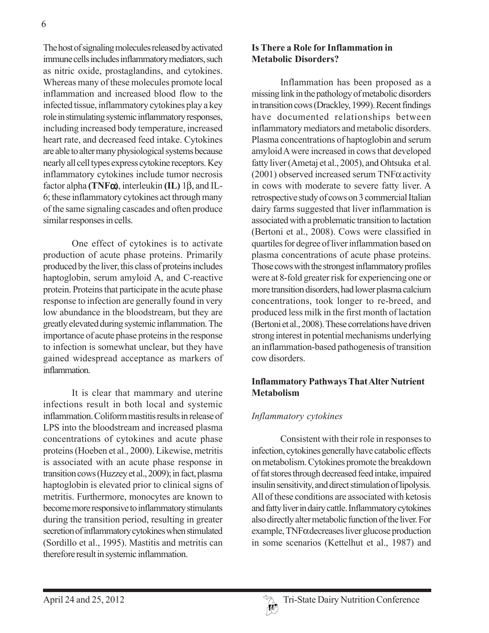The host of signaling molecules released by activated immune cells includes inflammatory mediators, such as nitric oxide, prostaglandins, and cytokines. Whereas many of these molecules promote local inflammation and increased blood flow to the infected tissue, inflammatory cytokines play a key role in stimulating systemic inflammatory responses, including increased body temperature, increased heart rate, and decreased feed intake. Cytokines are able to alter many physiological systems because nearly all cell types express cytokine receptors. Key inflammatory cytokines include tumor necrosis factor alpha **(TNF**α**)**, interleukin **(IL)** 1β, and IL-6; these inflammatory cytokines act through many of the same signaling cascades and often produce similar responses in cells.

One effect of cytokines is to activate production of acute phase proteins. Primarily produced by the liver, this class of proteins includes haptoglobin, serum amyloid A, and C-reactive protein. Proteins that participate in the acute phase response to infection are generally found in very low abundance in the bloodstream, but they are greatly elevated during systemic inflammation. The importance of acute phase proteins in the response to infection is somewhat unclear, but they have gained widespread acceptance as markers of inflammation.

It is clear that mammary and uterine infections result in both local and systemic inflammation. Coliform mastitis results in release of LPS into the bloodstream and increased plasma concentrations of cytokines and acute phase proteins (Hoeben et al., 2000). Likewise, metritis is associated with an acute phase response in transition cows (Huzzey et al., 2009); in fact, plasma haptoglobin is elevated prior to clinical signs of metritis. Furthermore, monocytes are known to become more responsive to inflammatory stimulants during the transition period, resulting in greater secretion of inflammatory cytokines when stimulated (Sordillo et al., 1995). Mastitis and metritis can therefore result in systemic inflammation.

#### **Is There a Role for Inflammation in Metabolic Disorders?**

Inflammation has been proposed as a missing link in the pathology of metabolic disorders in transition cows (Drackley, 1999). Recent findings have documented relationships between inflammatory mediators and metabolic disorders. Plasma concentrations of haptoglobin and serum amyloid A were increased in cows that developed fatty liver (Ametaj et al., 2005), and Ohtsuka et al. (2001) observed increased serum  $TNF\alpha$  activity in cows with moderate to severe fatty liver. A retrospective study of cows on 3 commercial Italian dairy farms suggested that liver inflammation is associated with a problematic transition to lactation (Bertoni et al., 2008). Cows were classified in quartiles for degree of liver inflammation based on plasma concentrations of acute phase proteins. Those cows with the strongest inflammatory profiles were at 8-fold greater risk for experiencing one or more transition disorders, had lower plasma calcium concentrations, took longer to re-breed, and produced less milk in the first month of lactation (Bertoni et al., 2008). These correlations have driven strong interest in potential mechanisms underlying an inflammation-based pathogenesis of transition cow disorders.

## **Inflammatory Pathways That Alter Nutrient Metabolism**

# *Inflammatory cytokines*

Consistent with their role in responses to infection, cytokines generally have catabolic effects on metabolism. Cytokines promote the breakdown of fat stores through decreased feed intake, impaired insulin sensitivity, and direct stimulation of lipolysis. All of these conditions are associated with ketosis and fatty liver in dairy cattle. Inflammatory cytokines also directly alter metabolic function of the liver. For example, TNFα decreases liver glucose production in some scenarios (Kettelhut et al., 1987) and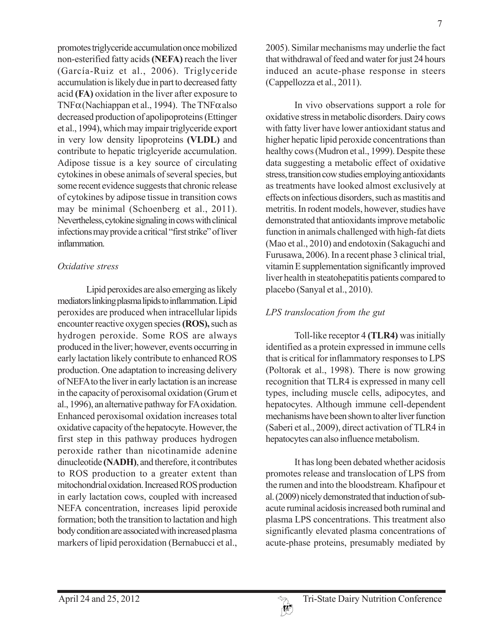promotes triglyceride accumulation once mobilized non-esterified fatty acids **(NEFA)** reach the liver (García-Ruiz et al., 2006). Triglyceride accumulation is likely due in part to decreased fatty acid **(FA)** oxidation in the liver after exposure to TNF $\alpha$ (Nachiappan et al., 1994). The TNF $\alpha$  also decreased production of apolipoproteins (Ettinger et al., 1994), which may impair triglyceride export in very low density lipoproteins **(VLDL)** and contribute to hepatic triglcyeride accumulation. Adipose tissue is a key source of circulating cytokines in obese animals of several species, but some recent evidence suggests that chronic release of cytokines by adipose tissue in transition cows may be minimal (Schoenberg et al., 2011). Nevertheless, cytokine signaling in cows with clinical infections may provide a critical "first strike" of liver inflammation.

### *Oxidative stress*

Lipid peroxides are also emerging as likely mediators linking plasma lipids to inflammation. Lipid peroxides are produced when intracellular lipids encounter reactive oxygen species **(ROS),** such as hydrogen peroxide. Some ROS are always produced in the liver; however, events occurring in early lactation likely contribute to enhanced ROS production. One adaptation to increasing delivery of NEFA to the liver in early lactation is an increase in the capacity of peroxisomal oxidation (Grum et al., 1996), an alternative pathway for FA oxidation. Enhanced peroxisomal oxidation increases total oxidative capacity of the hepatocyte. However, the first step in this pathway produces hydrogen peroxide rather than nicotinamide adenine dinucleotide **(NADH)**, and therefore, it contributes to ROS production to a greater extent than mitochondrial oxidation. Increased ROS production in early lactation cows, coupled with increased NEFA concentration, increases lipid peroxide formation; both the transition to lactation and high body condition are associated with increased plasma markers of lipid peroxidation (Bernabucci et al.,

2005). Similar mechanisms may underlie the fact that withdrawal of feed and water for just 24 hours induced an acute-phase response in steers (Cappellozza et al., 2011).

In vivo observations support a role for oxidative stress in metabolic disorders. Dairy cows with fatty liver have lower antioxidant status and higher hepatic lipid peroxide concentrations than healthy cows (Mudron et al., 1999). Despite these data suggesting a metabolic effect of oxidative stress, transition cow studies employing antioxidants as treatments have looked almost exclusively at effects on infectious disorders, such as mastitis and metritis. In rodent models, however, studies have demonstrated that antioxidants improve metabolic function in animals challenged with high-fat diets (Mao et al., 2010) and endotoxin (Sakaguchi and Furusawa, 2006). In a recent phase 3 clinical trial, vitamin E supplementation significantly improved liver health in steatohepatitis patients compared to placebo (Sanyal et al., 2010).

## *LPS translocation from the gut*

Toll-like receptor 4 **(TLR4)** was initially identified as a protein expressed in immune cells that is critical for inflammatory responses to LPS (Poltorak et al., 1998). There is now growing recognition that TLR4 is expressed in many cell types, including muscle cells, adipocytes, and hepatocytes. Although immune cell-dependent mechanisms have been shown to alter liver function (Saberi et al., 2009), direct activation of TLR4 in hepatocytes can also influence metabolism.

It has long been debated whether acidosis promotes release and translocation of LPS from the rumen and into the bloodstream. Khafipour et al. (2009) nicely demonstrated that induction of subacute ruminal acidosis increased both ruminal and plasma LPS concentrations. This treatment also significantly elevated plasma concentrations of acute-phase proteins, presumably mediated by

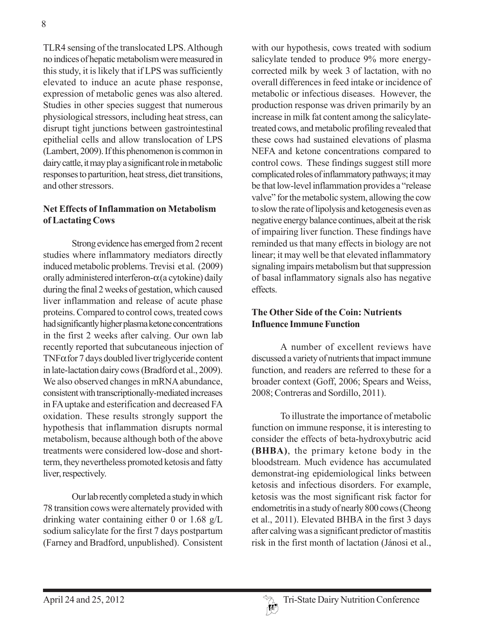TLR4 sensing of the translocated LPS. Although no indices of hepatic metabolism were measured in this study, it is likely that if LPS was sufficiently elevated to induce an acute phase response, expression of metabolic genes was also altered. Studies in other species suggest that numerous physiological stressors, including heat stress, can disrupt tight junctions between gastrointestinal epithelial cells and allow translocation of LPS (Lambert, 2009). If this phenomenon is common in dairy cattle, it may play a significant role in metabolic responses to parturition, heat stress, diet transitions, and other stressors.

#### **Net Effects of Inflammation on Metabolism of Lactating Cows**

Strong evidence has emerged from 2 recent studies where inflammatory mediators directly induced metabolic problems. Trevisi et al. (2009) orally administered interferon- $\alpha$  (a cytokine) daily during the final 2 weeks of gestation, which caused liver inflammation and release of acute phase proteins. Compared to control cows, treated cows had significantly higher plasma ketone concentrations in the first 2 weeks after calving. Our own lab recently reported that subcutaneous injection of TNF $\alpha$  for 7 days doubled liver triglyceride content in late-lactation dairy cows (Bradford et al., 2009). We also observed changes in mRNA abundance, consistent with transcriptionally-mediated increases in FA uptake and esterification and decreased FA oxidation. These results strongly support the hypothesis that inflammation disrupts normal metabolism, because although both of the above treatments were considered low-dose and shortterm, they nevertheless promoted ketosis and fatty liver, respectively.

Our lab recently completed a study in which 78 transition cows were alternately provided with drinking water containing either 0 or 1.68 g/L sodium salicylate for the first 7 days postpartum (Farney and Bradford, unpublished). Consistent with our hypothesis, cows treated with sodium salicylate tended to produce 9% more energycorrected milk by week 3 of lactation, with no overall differences in feed intake or incidence of metabolic or infectious diseases. However, the production response was driven primarily by an increase in milk fat content among the salicylatetreated cows, and metabolic profiling revealed that these cows had sustained elevations of plasma NEFA and ketone concentrations compared to control cows. These findings suggest still more complicated roles of inflammatory pathways; it may be that low-level inflammation provides a "release valve" for the metabolic system, allowing the cow to slow the rate of lipolysis and ketogenesis even as negative energy balance continues, albeit at the risk of impairing liver function. These findings have reminded us that many effects in biology are not linear; it may well be that elevated inflammatory signaling impairs metabolism but that suppression of basal inflammatory signals also has negative effects.

## **The Other Side of the Coin: Nutrients Influence Immune Function**

A number of excellent reviews have discussed a variety of nutrients that impact immune function, and readers are referred to these for a broader context (Goff, 2006; Spears and Weiss, 2008; Contreras and Sordillo, 2011).

To illustrate the importance of metabolic function on immune response, it is interesting to consider the effects of beta-hydroxybutric acid **(BHBA)**, the primary ketone body in the bloodstream. Much evidence has accumulated demonstrat-ing epidemiological links between ketosis and infectious disorders. For example, ketosis was the most significant risk factor for endometritis in a study of nearly 800 cows (Cheong et al., 2011). Elevated BHBA in the first 3 days after calving was a significant predictor of mastitis risk in the first month of lactation (Jánosi et al.,

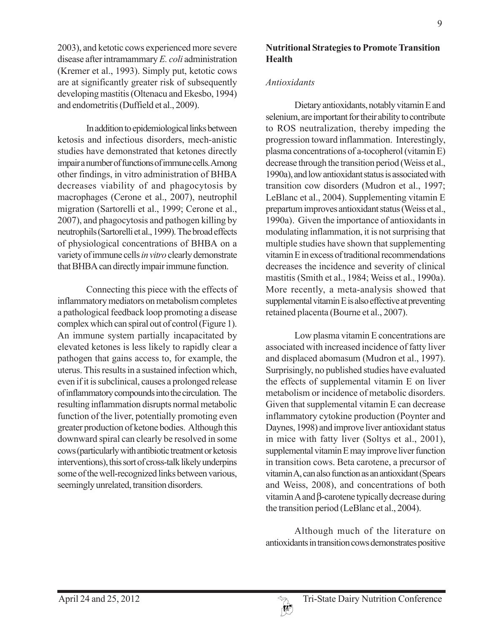2003), and ketotic cows experienced more severe disease after intramammary *E. coli* administration (Kremer et al., 1993). Simply put, ketotic cows are at significantly greater risk of subsequently developing mastitis (Oltenacu and Ekesbo, 1994) and endometritis (Duffield et al., 2009).

In addition to epidemiological links between ketosis and infectious disorders, mech-anistic studies have demonstrated that ketones directly impair a number of functions of immune cells. Among other findings, in vitro administration of BHBA decreases viability of and phagocytosis by macrophages (Cerone et al., 2007), neutrophil migration (Sartorelli et al., 1999; Cerone et al., 2007), and phagocytosis and pathogen killing by neutrophils (Sartorelli et al., 1999). The broad effects of physiological concentrations of BHBA on a variety of immune cells *in vitro* clearly demonstrate that BHBA can directly impair immune function.

Connecting this piece with the effects of inflammatory mediators on metabolism completes a pathological feedback loop promoting a disease complex which can spiral out of control (Figure 1). An immune system partially incapacitated by elevated ketones is less likely to rapidly clear a pathogen that gains access to, for example, the uterus. This results in a sustained infection which, even if it is subclinical, causes a prolonged release of inflammatory compounds into the circulation. The resulting inflammation disrupts normal metabolic function of the liver, potentially promoting even greater production of ketone bodies. Although this downward spiral can clearly be resolved in some cows (particularly with antibiotic treatment or ketosis interventions), this sort of cross-talk likely underpins some of the well-recognized links between various, seemingly unrelated, transition disorders.

### **Nutritional Strategies to Promote Transition Health**

### *Antioxidants*

Dietary antioxidants, notably vitamin E and selenium, are important for their ability to contribute to ROS neutralization, thereby impeding the progression toward inflammation. Interestingly, plasma concentrations of a-tocopherol (vitamin E) decrease through the transition period (Weiss et al., 1990a), and low antioxidant status is associated with transition cow disorders (Mudron et al., 1997; LeBlanc et al., 2004). Supplementing vitamin E prepartum improves antioxidant status (Weiss et al., 1990a). Given the importance of antioxidants in modulating inflammation, it is not surprising that multiple studies have shown that supplementing vitamin E in excess of traditional recommendations decreases the incidence and severity of clinical mastitis (Smith et al., 1984; Weiss et al., 1990a). More recently, a meta-analysis showed that supplemental vitamin E is also effective at preventing retained placenta (Bourne et al., 2007).

Low plasma vitamin E concentrations are associated with increased incidence of fatty liver and displaced abomasum (Mudron et al., 1997). Surprisingly, no published studies have evaluated the effects of supplemental vitamin E on liver metabolism or incidence of metabolic disorders. Given that supplemental vitamin E can decrease inflammatory cytokine production (Poynter and Daynes, 1998) and improve liver antioxidant status in mice with fatty liver (Soltys et al., 2001), supplemental vitamin E may improve liver function in transition cows. Beta carotene, a precursor of vitamin A, can also function as an antioxidant (Spears and Weiss, 2008), and concentrations of both vitamin A and β-carotene typically decrease during the transition period (LeBlanc et al., 2004).

Although much of the literature on antioxidants in transition cows demonstrates positive

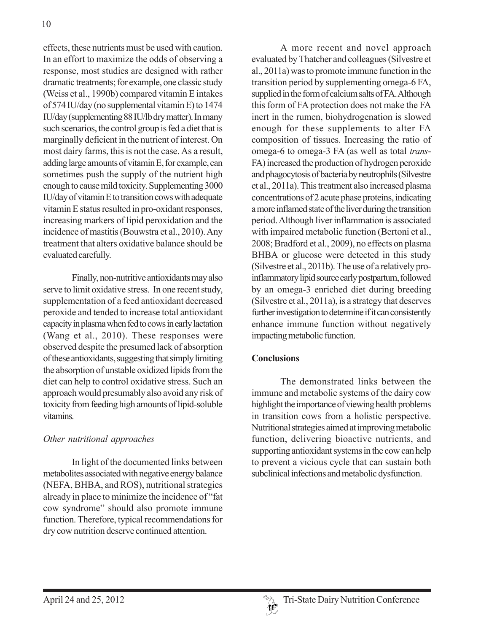effects, these nutrients must be used with caution. In an effort to maximize the odds of observing a response, most studies are designed with rather dramatic treatments; for example, one classic study (Weiss et al., 1990b) compared vitamin E intakes of 574 IU/day (no supplemental vitamin E) to 1474 IU/day (supplementing 88 IU/lb dry matter). In many such scenarios, the control group is fed a diet that is marginally deficient in the nutrient of interest. On most dairy farms, this is not the case. As a result, adding large amounts of vitamin E, for example, can sometimes push the supply of the nutrient high enough to cause mild toxicity. Supplementing 3000 IU/day of vitamin E to transition cows with adequate vitamin E status resulted in pro-oxidant responses, increasing markers of lipid peroxidation and the incidence of mastitis (Bouwstra et al., 2010). Any treatment that alters oxidative balance should be evaluated carefully.

Finally, non-nutritive antioxidants may also serve to limit oxidative stress. In one recent study, supplementation of a feed antioxidant decreased peroxide and tended to increase total antioxidant capacity in plasma when fed to cows in early lactation (Wang et al., 2010). These responses were observed despite the presumed lack of absorption of these antioxidants, suggesting that simply limiting the absorption of unstable oxidized lipids from the diet can help to control oxidative stress. Such an approach would presumably also avoid any risk of toxicity from feeding high amounts of lipid-soluble vitamins.

## *Other nutritional approaches*

In light of the documented links between metabolites associated with negative energy balance (NEFA, BHBA, and ROS), nutritional strategies already in place to minimize the incidence of "fat cow syndrome" should also promote immune function. Therefore, typical recommendations for dry cow nutrition deserve continued attention.

A more recent and novel approach evaluated by Thatcher and colleagues (Silvestre et al., 2011a) was to promote immune function in the transition period by supplementing omega-6 FA, supplied in the form of calcium salts of FA. Although this form of FA protection does not make the FA inert in the rumen, biohydrogenation is slowed enough for these supplements to alter FA composition of tissues. Increasing the ratio of omega-6 to omega-3 FA (as well as total *trans*-FA) increased the production of hydrogen peroxide and phagocytosis of bacteria by neutrophils (Silvestre et al., 2011a). This treatment also increased plasma concentrations of 2 acute phase proteins, indicating a more inflamed state of the liver during the transition period. Although liver inflammation is associated with impaired metabolic function (Bertoni et al., 2008; Bradford et al., 2009), no effects on plasma BHBA or glucose were detected in this study (Silvestre et al., 2011b). The use of a relatively proinflammatory lipid source early postpartum, followed by an omega-3 enriched diet during breeding (Silvestre et al., 2011a), is a strategy that deserves further investigation to determine if it can consistently enhance immune function without negatively impacting metabolic function.

#### **Conclusions**

The demonstrated links between the immune and metabolic systems of the dairy cow highlight the importance of viewing health problems in transition cows from a holistic perspective. Nutritional strategies aimed at improving metabolic function, delivering bioactive nutrients, and supporting antioxidant systems in the cow can help to prevent a vicious cycle that can sustain both subclinical infections and metabolic dysfunction.

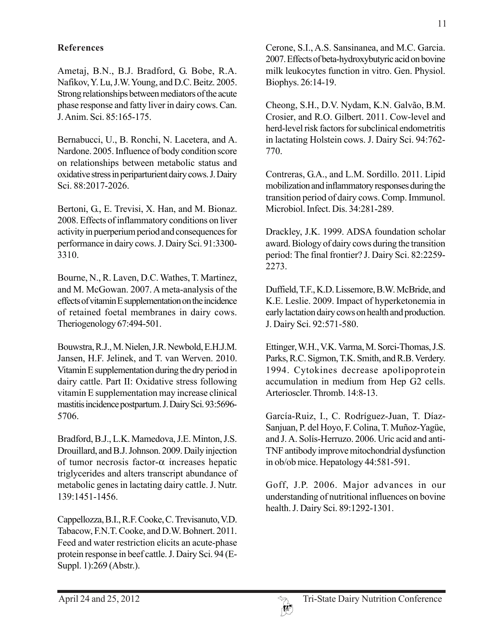## **References**

Ametaj, B.N., B.J. Bradford, G. Bobe, R.A. Nafikov, Y. Lu, J.W. Young, and D.C. Beitz. 2005. Strong relationships between mediators of the acute phase response and fatty liver in dairy cows. Can. J. Anim. Sci. 85:165-175.

Bernabucci, U., B. Ronchi, N. Lacetera, and A. Nardone. 2005. Influence of body condition score on relationships between metabolic status and oxidative stress in periparturient dairy cows. J. Dairy Sci. 88:2017-2026.

Bertoni, G., E. Trevisi, X. Han, and M. Bionaz. 2008. Effects of inflammatory conditions on liver activity in puerperium period and consequences for performance in dairy cows. J. Dairy Sci. 91:3300- 3310.

Bourne, N., R. Laven, D.C. Wathes, T. Martinez, and M. McGowan. 2007. A meta-analysis of the effects of vitamin E supplementation on the incidence of retained foetal membranes in dairy cows. Theriogenology 67:494-501.

Bouwstra, R.J., M. Nielen, J.R. Newbold, E.H.J.M. Jansen, H.F. Jelinek, and T. van Werven. 2010. Vitamin E supplementation during the dry period in dairy cattle. Part II: Oxidative stress following vitamin E supplementation may increase clinical mastitis incidence postpartum. J. Dairy Sci. 93:5696- 5706.

Bradford, B.J., L.K. Mamedova, J.E. Minton, J.S. Drouillard, and B.J. Johnson. 2009. Daily injection of tumor necrosis factor-α increases hepatic triglycerides and alters transcript abundance of metabolic genes in lactating dairy cattle. J. Nutr. 139:1451-1456.

Cappellozza, B.I., R.F. Cooke, C. Trevisanuto, V.D. Tabacow, F.N.T. Cooke, and D.W. Bohnert. 2011. Feed and water restriction elicits an acute-phase protein response in beef cattle. J. Dairy Sci. 94 (E-Suppl. 1):269 (Abstr.).

Cerone, S.I., A.S. Sansinanea, and M.C. Garcia. 2007. Effects of beta-hydroxybutyric acid on bovine milk leukocytes function in vitro. Gen. Physiol. Biophys. 26:14-19.

Cheong, S.H., D.V. Nydam, K.N. Galvão, B.M. Crosier, and R.O. Gilbert. 2011. Cow-level and herd-level risk factors for subclinical endometritis in lactating Holstein cows. J. Dairy Sci. 94:762- 770.

Contreras, G.A., and L.M. Sordillo. 2011. Lipid mobilization and inflammatory responses during the transition period of dairy cows. Comp. Immunol. Microbiol. Infect. Dis. 34:281-289.

Drackley, J.K. 1999. ADSA foundation scholar award. Biology of dairy cows during the transition period: The final frontier? J. Dairy Sci. 82:2259- 2273.

Duffield, T.F., K.D. Lissemore, B.W. McBride, and K.E. Leslie. 2009. Impact of hyperketonemia in early lactation dairy cows on health and production. J. Dairy Sci. 92:571-580.

Ettinger, W.H., V.K. Varma, M. Sorci-Thomas, J.S. Parks, R.C. Sigmon, T.K. Smith, and R.B. Verdery. 1994. Cytokines decrease apolipoprotein accumulation in medium from Hep G2 cells. Arterioscler. Thromb. 14:8-13.

García-Ruiz, I., C. Rodríguez-Juan, T. Díaz-Sanjuan, P. del Hoyo, F. Colina, T. Muñoz-Yagüe, and J. A. Solís-Herruzo. 2006. Uric acid and anti-TNF antibody improve mitochondrial dysfunction in ob/ob mice. Hepatology 44:581-591.

Goff, J.P. 2006. Major advances in our understanding of nutritional influences on bovine health. J. Dairy Sci. 89:1292-1301.

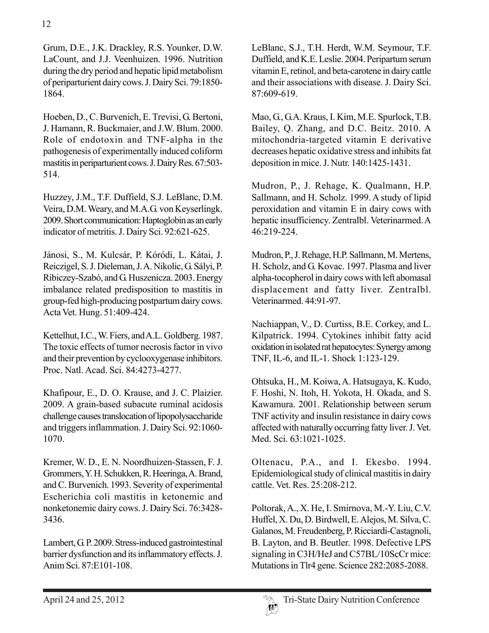Grum, D.E., J.K. Drackley, R.S. Younker, D.W. LaCount, and J.J. Veenhuizen. 1996. Nutrition during the dry period and hepatic lipid metabolism of periparturient dairy cows. J. Dairy Sci. 79:1850- 1864.

Hoeben, D., C. Burvenich, E. Trevisi, G. Bertoni, J. Hamann, R. Buckmaier, and J.W. Blum. 2000. Role of endotoxin and TNF-alpha in the pathogenesis of experimentally induced coliform mastitis in periparturient cows. J. Dairy Res. 67:503- 514.

Huzzey, J.M., T.F. Duffield, S.J. LeBlanc, D.M. Veira, D.M. Weary, and M.A.G. von Keyserlingk. 2009. Short communication: Haptoglobin as an early indicator of metritis. J. Dairy Sci. 92:621-625.

Jánosi, S., M. Kulcsár, P. Kóródi, L. Kátai, J. Reiczigel, S. J. Dieleman, J. A. Nikolic, G. Sályi, P. Ribiczey-Szabó, and G. Huszenicza. 2003. Energy imbalance related predisposition to mastitis in group-fed high-producing postpartum dairy cows. Acta Vet. Hung. 51:409-424.

Kettelhut, I.C., W. Fiers, and A.L. Goldberg. 1987. The toxic effects of tumor necrosis factor in vivo and their prevention by cyclooxygenase inhibitors. Proc. Natl. Acad. Sci. 84:4273-4277.

Khafipour, E., D. O. Krause, and J. C. Plaizier. 2009. A grain-based subacute ruminal acidosis challenge causes translocation of lipopolysaccharide and triggers inflammation. J. Dairy Sci. 92:1060- 1070.

Kremer, W. D., E. N. Noordhuizen-Stassen, F. J. Grommers, Y. H. Schukken, R. Heeringa, A. Brand, and C. Burvenich. 1993. Severity of experimental Escherichia coli mastitis in ketonemic and nonketonemic dairy cows. J. Dairy Sci. 76:3428- 3436.

Lambert, G. P. 2009. Stress-induced gastrointestinal barrier dysfunction and its inflammatory effects. J. Anim Sci. 87:E101-108.

LeBlanc, S.J., T.H. Herdt, W.M. Seymour, T.F. Duffield, and K.E. Leslie. 2004. Peripartum serum vitamin E, retinol, and beta-carotene in dairy cattle and their associations with disease. J. Dairy Sci. 87:609-619.

Mao, G., G.A. Kraus, I. Kim, M.E. Spurlock, T.B. Bailey, Q. Zhang, and D.C. Beitz. 2010. A mitochondria-targeted vitamin E derivative decreases hepatic oxidative stress and inhibits fat deposition in mice. J. Nutr. 140:1425-1431.

Mudron, P., J. Rehage, K. Qualmann, H.P. Sallmann, and H. Scholz. 1999. A study of lipid peroxidation and vitamin E in dairy cows with hepatic insufficiency. Zentralbl. Veterinarmed. A 46:219-224.

Mudron, P., J. Rehage, H.P. Sallmann, M. Mertens, H. Scholz, and G. Kovac. 1997. Plasma and liver alpha-tocopherol in dairy cows with left abomasal displacement and fatty liver. Zentralbl. Veterinarmed. 44:91-97.

Nachiappan, V., D. Curtiss, B.E. Corkey, and L. Kilpatrick. 1994. Cytokines inhibit fatty acid oxidation in isolated rat hepatocytes: Synergy among TNF, IL-6, and IL-1. Shock 1:123-129.

Ohtsuka, H., M. Koiwa, A. Hatsugaya, K. Kudo, F. Hoshi, N. Itoh, H. Yokota, H. Okada, and S. Kawamura. 2001. Relationship between serum TNF activity and insulin resistance in dairy cows affected with naturally occurring fatty liver. J. Vet. Med. Sci. 63:1021-1025.

Oltenacu, P.A., and I. Ekesbo. 1994. Epidemiological study of clinical mastitis in dairy cattle. Vet. Res. 25:208-212.

Poltorak, A., X. He, I. Smirnova, M.-Y. Liu, C.V. Huffel, X. Du, D. Birdwell, E. Alejos, M. Silva, C. Galanos, M. Freudenberg, P. Ricciardi-Castagnoli, B. Layton, and B. Beutler. 1998. Defective LPS signaling in C3H/HeJ and C57BL/10ScCr mice: Mutations in Tlr4 gene. Science 282:2085-2088.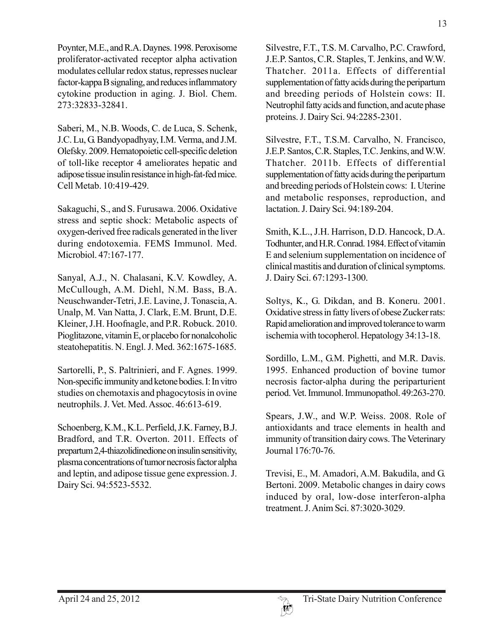Poynter, M.E., and R.A. Daynes. 1998. Peroxisome proliferator-activated receptor alpha activation modulates cellular redox status, represses nuclear factor-kappa B signaling, and reduces inflammatory cytokine production in aging. J. Biol. Chem. 273:32833-32841.

Saberi, M., N.B. Woods, C. de Luca, S. Schenk, J.C. Lu, G. Bandyopadhyay, I.M. Verma, and J.M. Olefsky. 2009. Hematopoietic cell-specific deletion of toll-like receptor 4 ameliorates hepatic and adipose tissue insulin resistance in high-fat-fed mice. Cell Metab. 10:419-429.

Sakaguchi, S., and S. Furusawa. 2006. Oxidative stress and septic shock: Metabolic aspects of oxygen-derived free radicals generated in the liver during endotoxemia. FEMS Immunol. Med. Microbiol. 47:167-177.

Sanyal, A.J., N. Chalasani, K.V. Kowdley, A. McCullough, A.M. Diehl, N.M. Bass, B.A. Neuschwander-Tetri, J.E. Lavine, J. Tonascia, A. Unalp, M. Van Natta, J. Clark, E.M. Brunt, D.E. Kleiner, J.H. Hoofnagle, and P.R. Robuck. 2010. Pioglitazone, vitamin E, or placebo for nonalcoholic steatohepatitis. N. Engl. J. Med. 362:1675-1685.

Sartorelli, P., S. Paltrinieri, and F. Agnes. 1999. Non-specific immunity and ketone bodies. I: In vitro studies on chemotaxis and phagocytosis in ovine neutrophils. J. Vet. Med. Assoc. 46:613-619.

Schoenberg, K.M., K.L. Perfield, J.K. Farney, B.J. Bradford, and T.R. Overton. 2011. Effects of prepartum 2,4-thiazolidinedione on insulin sensitivity, plasma concentrations of tumor necrosis factor alpha and leptin, and adipose tissue gene expression. J. Dairy Sci. 94:5523-5532.

Silvestre, F.T., T.S. M. Carvalho, P.C. Crawford, J.E.P. Santos, C.R. Staples, T. Jenkins, and W.W. Thatcher. 2011a. Effects of differential supplementation of fatty acids during the peripartum and breeding periods of Holstein cows: II. Neutrophil fatty acids and function, and acute phase proteins. J. Dairy Sci. 94:2285-2301.

Silvestre, F.T., T.S.M. Carvalho, N. Francisco, J.E.P. Santos, C.R. Staples, T.C. Jenkins, and W.W. Thatcher. 2011b. Effects of differential supplementation of fatty acids during the peripartum and breeding periods of Holstein cows: I. Uterine and metabolic responses, reproduction, and lactation. J. Dairy Sci. 94:189-204.

Smith, K.L., J.H. Harrison, D.D. Hancock, D.A. Todhunter, and H.R. Conrad. 1984. Effect of vitamin E and selenium supplementation on incidence of clinical mastitis and duration of clinical symptoms. J. Dairy Sci. 67:1293-1300.

Soltys, K., G. Dikdan, and B. Koneru. 2001. Oxidative stress in fatty livers of obese Zucker rats: Rapid amelioration and improved tolerance to warm ischemia with tocopherol. Hepatology 34:13-18.

Sordillo, L.M., G.M. Pighetti, and M.R. Davis. 1995. Enhanced production of bovine tumor necrosis factor-alpha during the periparturient period. Vet. Immunol. Immunopathol. 49:263-270.

Spears, J.W., and W.P. Weiss. 2008. Role of antioxidants and trace elements in health and immunity of transition dairy cows. The Veterinary Journal 176:70-76.

Trevisi, E., M. Amadori, A.M. Bakudila, and G. Bertoni. 2009. Metabolic changes in dairy cows induced by oral, low-dose interferon-alpha treatment. J. Anim Sci. 87:3020-3029.

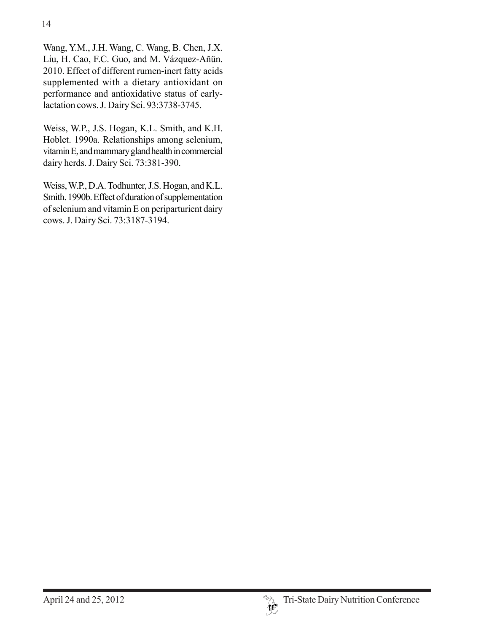Wang, Y.M., J.H. Wang, C. Wang, B. Chen, J.X. Liu, H. Cao, F.C. Guo, and M. Vázquez-Añün. 2010. Effect of different rumen-inert fatty acids supplemented with a dietary antioxidant on performance and antioxidative status of earlylactation cows. J. Dairy Sci. 93:3738-3745.

Weiss, W.P., J.S. Hogan, K.L. Smith, and K.H. Hoblet. 1990a. Relationships among selenium, vitamin E, and mammary gland health in commercial dairy herds. J. Dairy Sci. 73:381-390.

Weiss, W.P., D.A. Todhunter, J.S. Hogan, and K.L. Smith. 1990b. Effect of duration of supplementation of selenium and vitamin E on periparturient dairy cows. J. Dairy Sci. 73:3187-3194.